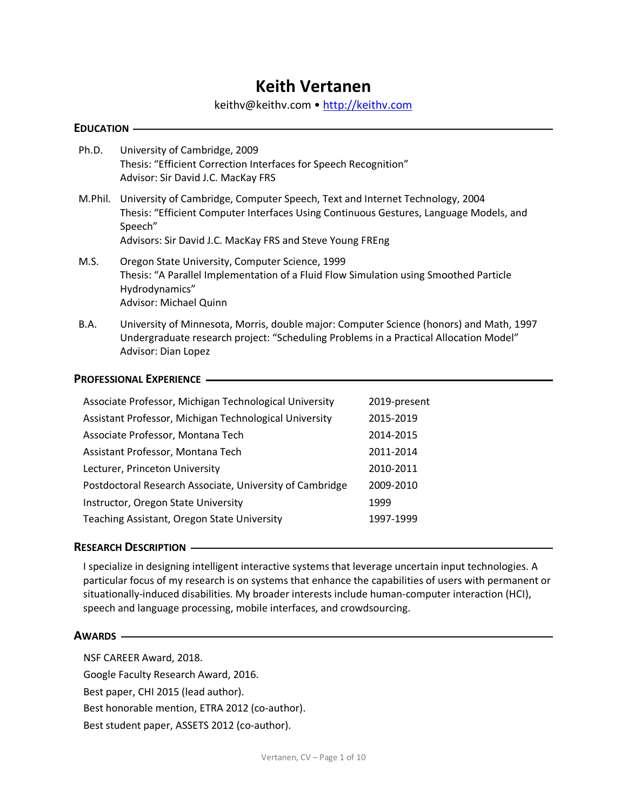# **Keith Vertanen**

[keithv@keithv.com](mailto:keithv@keithv.com) • <u>http://keithv.com</u>

| <b>EDUCATION —</b> |  |
|--------------------|--|
|--------------------|--|

- Ph.D. University of Cambridge, 2009 Thesis: "Efficient Correction Interfaces for Speech Recognition" Advisor: Sir David J.C. MacKay FRS
- M.Phil. University of Cambridge, Computer Speech, Text and Internet Technology, 2004 Thesis: "Efficient Computer Interfaces Using Continuous Gestures, Language Models, and Speech" Advisors: Sir David J.C. MacKay FRS and Steve Young FREng
- M.S. Oregon State University, Computer Science, 1999 Thesis: "A Parallel Implementation of a Fluid Flow Simulation using Smoothed Particle Hydrodynamics" Advisor: Michael Quinn
- B.A. University of Minnesota, Morris, double major: Computer Science (honors) and Math, 1997 Undergraduate research project: "Scheduling Problems in a Practical Allocation Model" Advisor: Dian Lopez

## **PROFESSIONAL EXPERIENCE**

| Associate Professor, Michigan Technological University   | 2019-present |
|----------------------------------------------------------|--------------|
| Assistant Professor, Michigan Technological University   | 2015-2019    |
| Associate Professor, Montana Tech                        | 2014-2015    |
| Assistant Professor, Montana Tech                        | 2011-2014    |
| Lecturer, Princeton University                           | 2010-2011    |
| Postdoctoral Research Associate, University of Cambridge | 2009-2010    |
| Instructor, Oregon State University                      | 1999         |
| Teaching Assistant, Oregon State University              | 1997-1999    |

## **RESEARCH DESCRIPTION**

 I specialize in designing intelligent interactive systems that leverage uncertain input technologies. A particular focus of my research is on systems that enhance the capabilities of users with permanent or situationally-induced disabilities. My broader interests include human-computer interaction (HCI), speech and language processing, mobile interfaces, and crowdsourcing.

## **AWARDS**

NSF CAREER Award, 2018.

Google Faculty Research Award, 2016.

Best paper, CHI 2015 (lead author).

Best honorable mention, ETRA 2012 (co-author).

Best student paper, ASSETS 2012 (co-author).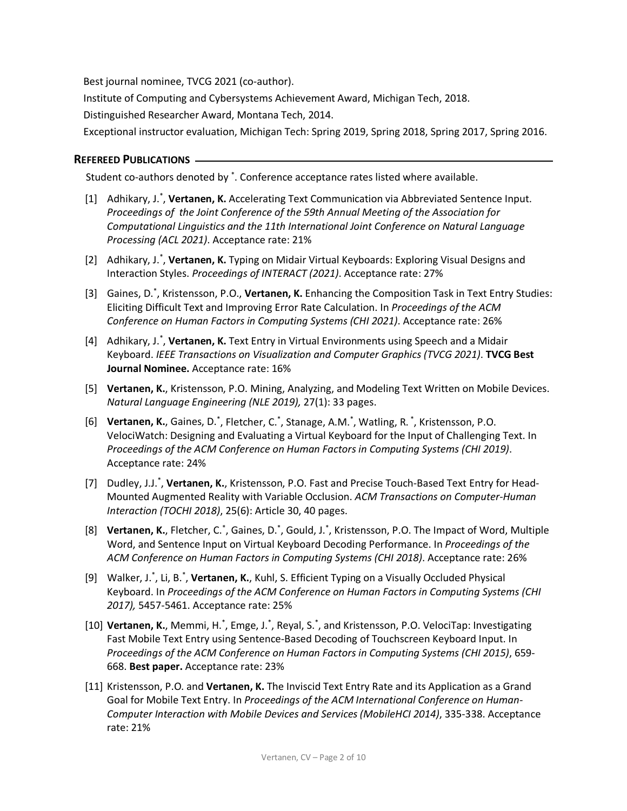Best journal nominee, TVCG 2021 (co-author).

Institute of Computing and Cybersystems Achievement Award, Michigan Tech, 2018.

Distinguished Researcher Award, Montana Tech, 2014.

Exceptional instructor evaluation, Michigan Tech: Spring 2019, Spring 2018, Spring 2017, Spring 2016.

## **REFEREED PUBLICATIONS**

Student co-authors denoted by<sup>\*</sup>. Conference acceptance rates listed where available.

- [1] Adhikary, J.<sup>\*</sup>, Vertanen, K. Accelerating Text Communication via Abbreviated Sentence Input.  *Proceedings of the Joint Conference of the 59th Annual Meeting of the Association for Processing (ACL 2021)*. Acceptance rate: 21% *Computational Linguistics and the 11th International Joint Conference on Natural Language*
- Interaction Styles. *Proceedings of INTERACT (2021)*. Acceptance rate: 27% [2] Adhikary, J.<sup>\*</sup>, Vertanen, K. Typing on Midair Virtual Keyboards: Exploring Visual Designs and
- [3] Gaines, D.\* , Kristensson, P.O., **Vertanen, K.** Enhancing the Composition Task in Text Entry Studies: Eliciting Difficult Text and Improving Error Rate Calculation. In *Proceedings of the ACM Conference on Human Factors in Computing Systems (CHI 2021)*. Acceptance rate: 26%
- Keyboard. *IEEE Transactions on Visualization and Computer Graphics (TVCG 2021)*. **TVCG Best Journal Nominee.** Acceptance rate: 16% [4] Adhikary, J.<sup>\*</sup>, Vertanen, K. Text Entry in Virtual Environments using Speech and a Midair
- [5] **Vertanen, K.**, Kristensson, P.O. Mining, Analyzing, and Modeling Text Written on Mobile Devices.  *Natural Language Engineering (NLE 2019),* 27(1): 33 pages.
- VelociWatch: Designing and Evaluating a Virtual Keyboard for the Input of Challenging Text. In  *Proceedings of the ACM Conference on Human Factors in Computing Systems (CHI 2019)*. Acceptance rate: 24% [6] Vertanen, K., Gaines, D.<sup>\*</sup>, Fletcher, C.<sup>\*</sup>, Stanage, A.M.<sup>\*</sup>, Watling, R.<sup>\*</sup>, Kristensson, P.O.
- [7] Dudley, J.J.<sup>\*</sup>, Vertanen, K., Kristensson, P.O. Fast and Precise Touch-Based Text Entry for Head- Mounted Augmented Reality with Variable Occlusion. *ACM Transactions on Computer-Human Interaction (TOCHI 2018)*, 25(6): Article 30, 40 pages.
- Word, and Sentence Input on Virtual Keyboard Decoding Performance. In *Proceedings of the ACM Conference on Human Factors in Computing Systems (CHI 2018)*. Acceptance rate: 26% [8] Vertanen, K., Fletcher, C.<sup>\*</sup>, Gaines, D.<sup>\*</sup>, Gould, J.<sup>\*</sup>, Kristensson, P.O. The Impact of Word, Multiple
- [9] Walker, J.<sup>\*</sup>, Li, B.<sup>\*</sup>, Vertanen, K., Kuhl, S. Efficient Typing on a Visually Occluded Physical  Keyboard. In *Proceedings of the ACM Conference on Human Factors in Computing Systems (CHI 2017),* 5457-5461. Acceptance rate: 25%
- Fast Mobile Text Entry using Sentence-Based Decoding of Touchscreen Keyboard Input. In  *Proceedings of the ACM Conference on Human Factors in Computing Systems (CHI 2015)*, 659- 668. **Best paper.** Acceptance rate: 23% [10] Vertanen, K., Memmi, H.<sup>\*</sup>, Emge, J.<sup>\*</sup>, Reyal, S.<sup>\*</sup>, and Kristensson, P.O. VelociTap: Investigating
- [11] Kristensson, P.O. and **Vertanen, K.** The Inviscid Text Entry Rate and its Application as a Grand Goal for Mobile Text Entry. In *Proceedings of the ACM International Conference on Human- Computer Interaction with Mobile Devices and Services (MobileHCI 2014)*, 335-338. Acceptance rate: 21%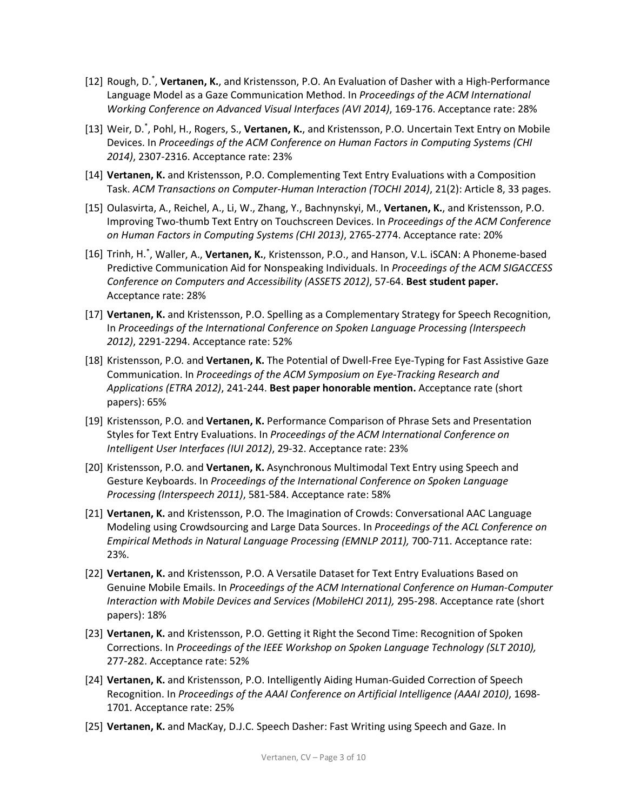- [12] Rough, D.\* , **Vertanen, K.**, and Kristensson, P.O. An Evaluation of Dasher with a High-Performance Language Model as a Gaze Communication Method. In *Proceedings of the ACM International Working Conference on Advanced Visual Interfaces (AVI 2014)*, 169-176. Acceptance rate: 28%
- [13] Weir, D.\* , Pohl, H., Rogers, S., **Vertanen, K.**, and Kristensson, P.O. Uncertain Text Entry on Mobile  Devices. In *Proceedings of the ACM Conference on Human Factors in Computing Systems (CHI 2014)*, 2307-2316. Acceptance rate: 23%
- [14] **Vertanen, K.** and Kristensson, P.O. Complementing Text Entry Evaluations with a Composition  Task. *ACM Transactions on Computer-Human Interaction (TOCHI 2014)*, 21(2): Article 8, 33 pages.
- Improving Two-thumb Text Entry on Touchscreen Devices. In *Proceedings of the ACM Conference on Human Factors in Computing Systems (CHI 2013)*, 2765-2774. Acceptance rate: 20% [15] Oulasvirta, A., Reichel, A., Li, W., Zhang, Y., Bachnynskyi, M., **Vertanen, K.**, and Kristensson, P.O.
- [16] Trinh, H.\* , Waller, A., **Vertanen, K.**, Kristensson, P.O., and Hanson, V.L. iSCAN: A Phoneme-based Predictive Communication Aid for Nonspeaking Individuals. In *Proceedings of the ACM SIGACCESS Conference on Computers and Accessibility (ASSETS 2012)*, 57-64. **Best student paper.**  Acceptance rate: 28%
- [17] **Vertanen, K.** and Kristensson, P.O. Spelling as a Complementary Strategy for Speech Recognition,  In *Proceedings of the International Conference on Spoken Language Processing (Interspeech 2012)*, 2291-2294. Acceptance rate: 52%
- Communication. In *Proceedings of the ACM Symposium on Eye-Tracking Research and*   *Applications (ETRA 2012)*, 241-244. **Best paper honorable mention.** Acceptance rate (short [18] Kristensson, P.O. and **Vertanen, K.** The Potential of Dwell-Free Eye-Typing for Fast Assistive Gaze papers): 65%
- [19] Kristensson, P.O. and **Vertanen, K.** Performance Comparison of Phrase Sets and Presentation Styles for Text Entry Evaluations. In *Proceedings of the ACM International Conference on Intelligent User Interfaces (IUI 2012)*, 29-32. Acceptance rate: 23%
- [20] Kristensson, P.O. and **Vertanen, K.** Asynchronous Multimodal Text Entry using Speech and  Gesture Keyboards. In *Proceedings of the International Conference on Spoken Language Processing (Interspeech 2011)*, 581-584. Acceptance rate: 58%
- Modeling using Crowdsourcing and Large Data Sources. In *Proceedings of the ACL Conference on Empirical Methods in Natural Language Processing (EMNLP 2011),* 700-711. Acceptance rate: [21] **Vertanen, K.** and Kristensson, P.O. The Imagination of Crowds: Conversational AAC Language 23%.
- [22] **Vertanen, K.** and Kristensson, P.O. A Versatile Dataset for Text Entry Evaluations Based on  Genuine Mobile Emails. In *Proceedings of the ACM International Conference on Human-Computer Interaction with Mobile Devices and Services (MobileHCI 2011),* 295-298. Acceptance rate (short papers): 18%
- [23] **Vertanen, K.** and Kristensson, P.O. Getting it Right the Second Time: Recognition of Spoken Corrections. In *Proceedings of the IEEE Workshop on Spoken Language Technology (SLT 2010),*  277-282. Acceptance rate: 52%
- [24] **Vertanen, K.** and Kristensson, P.O. Intelligently Aiding Human-Guided Correction of Speech Recognition. In *Proceedings of the AAAI Conference on Artificial Intelligence (AAAI 2010)*, 1698- 1701. Acceptance rate: 25%
- [25] **Vertanen, K.** and MacKay, D.J.C. Speech Dasher: Fast Writing using Speech and Gaze. In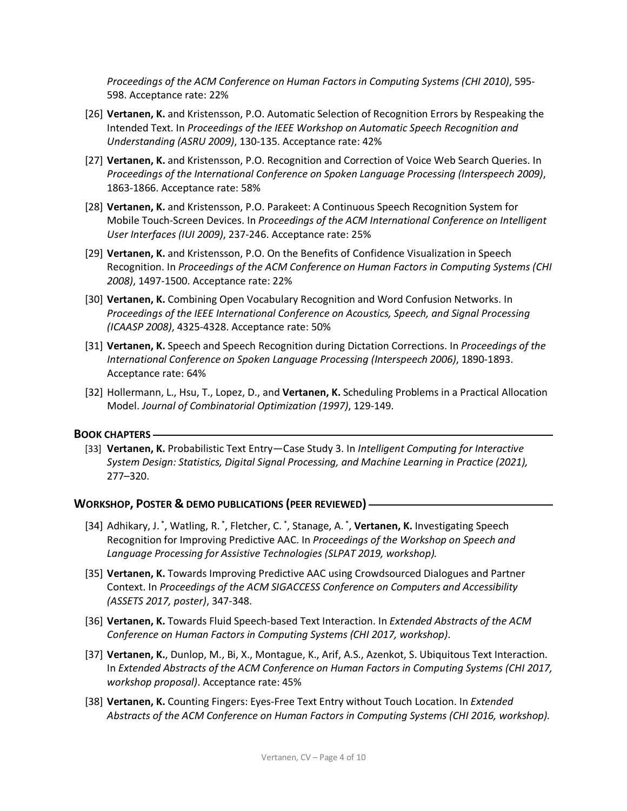*Proceedings of the ACM Conference on Human Factors in Computing Systems (CHI 2010)*, 595- 598. Acceptance rate: 22%

- [26] **Vertanen, K.** and Kristensson, P.O. Automatic Selection of Recognition Errors by Respeaking the Intended Text. In *Proceedings of the IEEE Workshop on Automatic Speech Recognition and Understanding (ASRU 2009)*, 130-135. Acceptance rate: 42%
- [27] **Vertanen, K.** and Kristensson, P.O. Recognition and Correction of Voice Web Search Queries. In  *Proceedings of the International Conference on Spoken Language Processing (Interspeech 2009)*, 1863-1866. Acceptance rate: 58%
- [28] **Vertanen, K.** and Kristensson, P.O. Parakeet: A Continuous Speech Recognition System for Mobile Touch-Screen Devices. In *Proceedings of the ACM International Conference on Intelligent User Interfaces (IUI 2009)*, 237-246. Acceptance rate: 25%
- [29] **Vertanen, K.** and Kristensson, P.O. On the Benefits of Confidence Visualization in Speech Recognition. In *Proceedings of the ACM Conference on Human Factors in Computing Systems (CHI 2008)*, 1497-1500. Acceptance rate: 22%
- [30] **Vertanen, K.** Combining Open Vocabulary Recognition and Word Confusion Networks. In  *Proceedings of the IEEE International Conference on Acoustics, Speech, and Signal Processing (ICAASP 2008)*, 4325-4328. Acceptance rate: 50%
- [31] **Vertanen, K.** Speech and Speech Recognition during Dictation Corrections. In *Proceedings of the International Conference on Spoken Language Processing (Interspeech 2006)*, 1890-1893. Acceptance rate: 64%
- [32] Hollermann, L., Hsu, T., Lopez, D., and **Vertanen, K.** Scheduling Problems in a Practical Allocation  Model. *Journal of Combinatorial Optimization (1997)*, 129-149.

## **BOOK CHAPTERS**

 [33] **Vertanen, K.** Probabilistic Text Entry—Case Study 3. In *Intelligent Computing for Interactive System Design: Statistics, Digital Signal Processing, and Machine Learning in Practice (2021),*  277–320.

## **WORKSHOP, POSTER & DEMO PUBLICATIONS (PEER REVIEWED)**

- [34] Adhikary, J.<sup>\*</sup>, Watling, R.<sup>\*</sup>, Fletcher, C.<sup>\*</sup>, Stanage, A.<sup>\*</sup>, Vertanen, K. Investigating Speech Recognition for Improving Predictive AAC. In *Proceedings of the Workshop on Speech and Language Processing for Assistive Technologies (SLPAT 2019, workshop).*
- [35] **Vertanen, K.** Towards Improving Predictive AAC using Crowdsourced Dialogues and Partner Context. In *Proceedings of the ACM SIGACCESS Conference on Computers and Accessibility (ASSETS 2017, poster)*, 347-348.
- [36] **Vertanen, K.** Towards Fluid Speech-based Text Interaction. In *Extended Abstracts of the ACM Conference on Human Factors in Computing Systems (CHI 2017, workshop)*.
- [37] **Vertanen, K.**, Dunlop, M., Bi, X., Montague, K., Arif, A.S., Azenkot, S. Ubiquitous Text Interaction.  In *Extended Abstracts of the ACM Conference on Human Factors in Computing Systems (CHI 2017, workshop proposal)*. Acceptance rate: 45%
- [38] **Vertanen, K.** Counting Fingers: Eyes-Free Text Entry without Touch Location. In *Extended Abstracts of the ACM Conference on Human Factors in Computing Systems (CHI 2016, workshop).*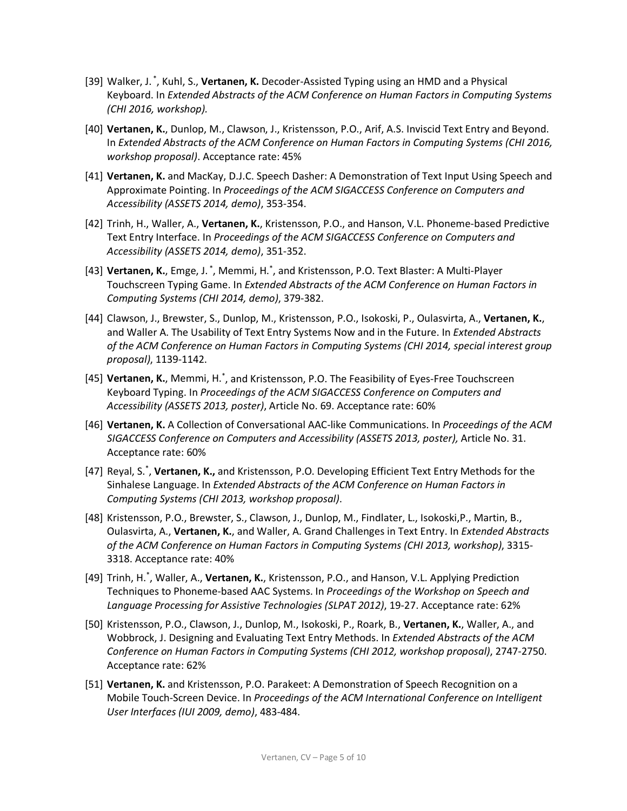- [39] Walker, J. \* , Kuhl, S., **Vertanen, K.** Decoder-Assisted Typing using an HMD and a Physical  Keyboard. In *Extended Abstracts of the ACM Conference on Human Factors in Computing Systems (CHI 2016, workshop).*
- [40] **Vertanen, K.**, Dunlop, M., Clawson, J., Kristensson, P.O., Arif, A.S. Inviscid Text Entry and Beyond.  In *Extended Abstracts of the ACM Conference on Human Factors in Computing Systems (CHI 2016, workshop proposal)*. Acceptance rate: 45%
- [41] **Vertanen, K.** and MacKay, D.J.C. Speech Dasher: A Demonstration of Text Input Using Speech and Approximate Pointing. In *Proceedings of the ACM SIGACCESS Conference on Computers and Accessibility (ASSETS 2014, demo)*, 353-354.
- Text Entry Interface. In *Proceedings of the ACM SIGACCESS Conference on Computers and Accessibility (ASSETS 2014, demo)*, 351-352. [42] Trinh, H., Waller, A., **Vertanen, K.**, Kristensson, P.O., and Hanson, V.L. Phoneme-based Predictive
- Touchscreen Typing Game. In *Extended Abstracts of the ACM Conference on Human Factors in Computing Systems (CHI 2014, demo)*, 379-382. [43] Vertanen, K., Emge, J.<sup>\*</sup>, Memmi, H.<sup>\*</sup>, and Kristensson, P.O. Text Blaster: A Multi-Player
- and Waller A. The Usability of Text Entry Systems Now and in the Future. In *Extended Abstracts of the ACM Conference on Human Factors in Computing Systems (CHI 2014, special interest group*  [44] Clawson, J., Brewster, S., Dunlop, M., Kristensson, P.O., Isokoski, P., Oulasvirta, A., **Vertanen, K.**, *proposal)*, 1139-1142.
- Keyboard Typing. In *Proceedings of the ACM SIGACCESS Conference on Computers and Accessibility (ASSETS 2013, poster)*, Article No. 69. Acceptance rate: 60% [45] Vertanen, K., Memmi, H.<sup>\*</sup>, and Kristensson, P.O. The Feasibility of Eyes-Free Touchscreen
- [46] **Vertanen, K.** A Collection of Conversational AAC-like Communications. In *Proceedings of the ACM SIGACCESS Conference on Computers and Accessibility (ASSETS 2013, poster),* Article No. 31. Acceptance rate: 60%
- [47] Reyal, S.\* , **Vertanen, K.,** and Kristensson, P.O. Developing Efficient Text Entry Methods for the Sinhalese Language. In *Extended Abstracts of the ACM Conference on Human Factors in Computing Systems (CHI 2013, workshop proposal)*.
- Oulasvirta, A., **Vertanen, K.**, and Waller, A. Grand Challenges in Text Entry. In *Extended Abstracts of the ACM Conference on Human Factors in Computing Systems (CHI 2013, workshop)*, 3315- 3318. Acceptance rate: 40% [48] Kristensson, P.O., Brewster, S., Clawson, J., Dunlop, M., Findlater, L., Isokoski,P., Martin, B.,
- [49] Trinh, H.\* , Waller, A., **Vertanen, K.**, Kristensson, P.O., and Hanson, V.L. Applying Prediction Techniques to Phoneme-based AAC Systems. In *Proceedings of the Workshop on Speech and Language Processing for Assistive Technologies (SLPAT 2012)*, 19-27. Acceptance rate: 62%
- Wobbrock, J. Designing and Evaluating Text Entry Methods. In *Extended Abstracts of the ACM Conference on Human Factors in Computing Systems (CHI 2012, workshop proposal)*, 2747-2750. Acceptance rate: 62% [50] Kristensson, P.O., Clawson, J., Dunlop, M., Isokoski, P., Roark, B., **Vertanen, K.**, Waller, A., and
- [51] **Vertanen, K.** and Kristensson, P.O. Parakeet: A Demonstration of Speech Recognition on a  Mobile Touch-Screen Device. In *Proceedings of the ACM International Conference on Intelligent User Interfaces (IUI 2009, demo)*, 483-484.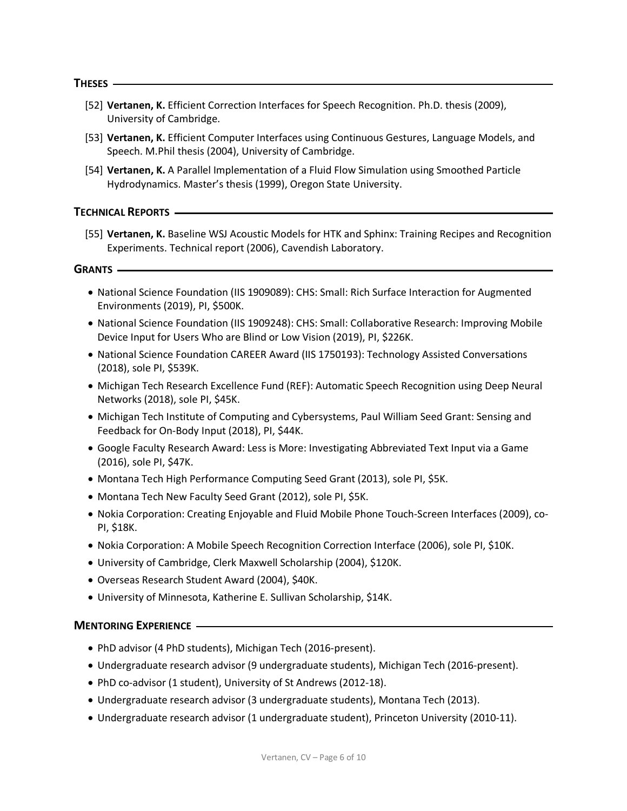# **THESES**

- [52] **Vertanen, K.** Efficient Correction Interfaces for Speech Recognition. Ph.D. thesis (2009), University of Cambridge.
- [53] **Vertanen, K.** Efficient Computer Interfaces using Continuous Gestures, Language Models, and Speech. M.Phil thesis (2004), University of Cambridge.
- [54] **Vertanen, K.** A Parallel Implementation of a Fluid Flow Simulation using Smoothed Particle Hydrodynamics. Master's thesis (1999), Oregon State University.

 **TECHNICAL REPORTS** 

 [55] **Vertanen, K.** Baseline WSJ Acoustic Models for HTK and Sphinx: Training Recipes and Recognition Experiments. Technical report (2006), Cavendish Laboratory.

 **GRANTS** 

- • National Science Foundation (IIS 1909089): CHS: Small: Rich Surface Interaction for Augmented Environments (2019), PI, \$500K.
- • National Science Foundation (IIS 1909248): CHS: Small: Collaborative Research: Improving Mobile Device Input for Users Who are Blind or Low Vision (2019), PI, \$226K.
- • National Science Foundation CAREER Award (IIS 1750193): Technology Assisted Conversations (2018), sole PI, \$539K.
- • Michigan Tech Research Excellence Fund (REF): Automatic Speech Recognition using Deep Neural Networks (2018), sole PI, \$45K.
- • Michigan Tech Institute of Computing and Cybersystems, Paul William Seed Grant: Sensing and Feedback for On-Body Input (2018), PI, \$44K.
- • Google Faculty Research Award: Less is More: Investigating Abbreviated Text Input via a Game (2016), sole PI, \$47K.
- Montana Tech High Performance Computing Seed Grant (2013), sole PI, \$5K.
- Montana Tech New Faculty Seed Grant (2012), sole PI, \$5K.
- • Nokia Corporation: Creating Enjoyable and Fluid Mobile Phone Touch-Screen Interfaces (2009), co-PI, \$18K.
- Nokia Corporation: A Mobile Speech Recognition Correction Interface (2006), sole PI, \$10K.
- University of Cambridge, Clerk Maxwell Scholarship (2004), \$120K.
- Overseas Research Student Award (2004), \$40K.
- University of Minnesota, Katherine E. Sullivan Scholarship, \$14K.

## **MENTORING EXPERIENCE**

- PhD advisor (4 PhD students), Michigan Tech (2016-present).
- Undergraduate research advisor (9 undergraduate students), Michigan Tech (2016-present).
- PhD co-advisor (1 student), University of St Andrews (2012-18).
- Undergraduate research advisor (3 undergraduate students), Montana Tech (2013).
- Undergraduate research advisor (1 undergraduate student), Princeton University (2010-11).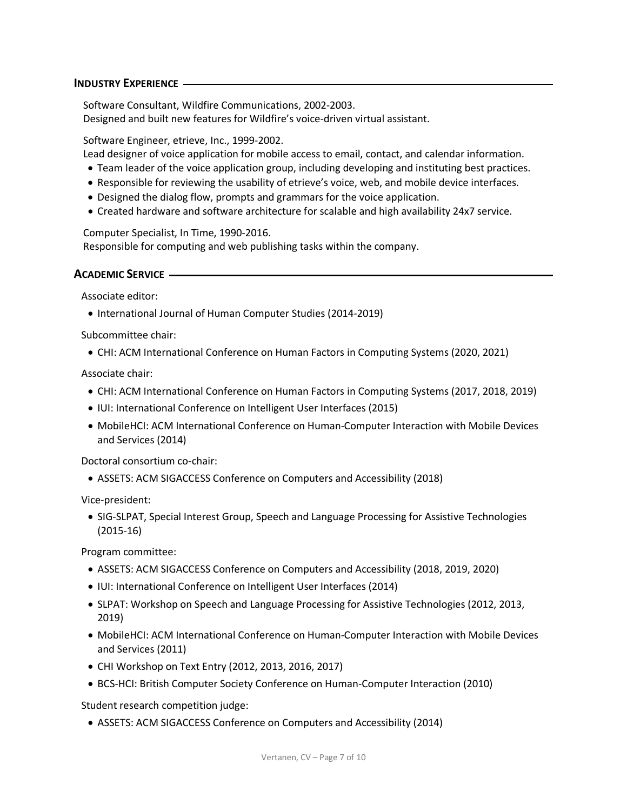## **INDUSTRY EXPERIENCE**

 Software Consultant, Wildfire Communications, 2002-2003. Designed and built new features for Wildfire's voice-driven virtual assistant.

Software Engineer, etrieve, Inc., 1999-2002.

Lead designer of voice application for mobile access to email, contact, and calendar information.

- Team leader of the voice application group, including developing and instituting best practices.
- Responsible for reviewing the usability of etrieve's voice, web, and mobile device interfaces.
- Designed the dialog flow, prompts and grammars for the voice application.
- Created hardware and software architecture for scalable and high availability 24x7 service.

 Responsible for computing and web publishing tasks within the company. Computer Specialist, In Time, 1990-2016.

## **ACADEMIC SERVICE**

Associate editor:

• International Journal of Human Computer Studies (2014-2019)

Subcommittee chair:

• CHI: ACM International Conference on Human Factors in Computing Systems (2020, 2021)

Associate chair:

- CHI: ACM International Conference on Human Factors in Computing Systems (2017, 2018, 2019)
- IUI: International Conference on Intelligent User Interfaces (2015)
- • MobileHCI: ACM International Conference on Human-Computer Interaction with Mobile Devices and Services (2014)

Doctoral consortium co-chair:

• ASSETS: ACM SIGACCESS Conference on Computers and Accessibility (2018)

Vice-president:

 • SIG-SLPAT, Special Interest Group, Speech and Language Processing for Assistive Technologies (2015-16)

Program committee:

- ASSETS: ACM SIGACCESS Conference on Computers and Accessibility (2018, 2019, 2020)
- IUI: International Conference on Intelligent User Interfaces (2014)
- • SLPAT: Workshop on Speech and Language Processing for Assistive Technologies (2012, 2013, 2019)
- • MobileHCI: ACM International Conference on Human-Computer Interaction with Mobile Devices and Services (2011)
- CHI Workshop on Text Entry (2012, 2013, 2016, 2017)
- BCS-HCI: British Computer Society Conference on Human-Computer Interaction (2010)

Student research competition judge:

• ASSETS: ACM SIGACCESS Conference on Computers and Accessibility (2014)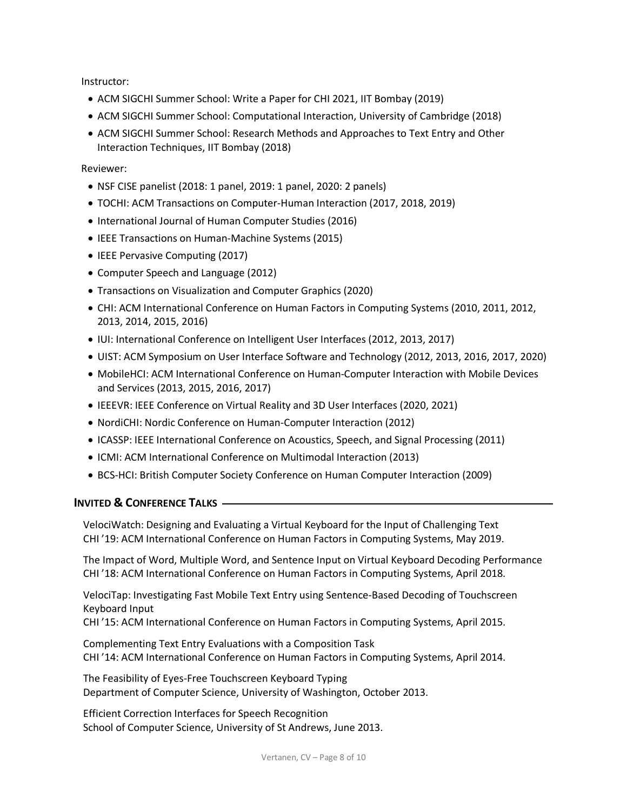Instructor:

- ACM SIGCHI Summer School: Write a Paper for CHI 2021, IIT Bombay (2019)
- ACM SIGCHI Summer School: Computational Interaction, University of Cambridge (2018)
- • ACM SIGCHI Summer School: Research Methods and Approaches to Text Entry and Other Interaction Techniques, IIT Bombay (2018)

Reviewer:

- NSF CISE panelist (2018: 1 panel, 2019: 1 panel, 2020: 2 panels)
- TOCHI: ACM Transactions on Computer-Human Interaction (2017, 2018, 2019)
- International Journal of Human Computer Studies (2016)
- IEEE Transactions on Human-Machine Systems (2015)
- IEEE Pervasive Computing (2017)
- Computer Speech and Language (2012)
- Transactions on Visualization and Computer Graphics (2020)
- • CHI: ACM International Conference on Human Factors in Computing Systems (2010, 2011, 2012, 2013, 2014, 2015, 2016)
- IUI: International Conference on Intelligent User Interfaces (2012, 2013, 2017)
- UIST: ACM Symposium on User Interface Software and Technology (2012, 2013, 2016, 2017, 2020)
- • MobileHCI: ACM International Conference on Human-Computer Interaction with Mobile Devices and Services (2013, 2015, 2016, 2017)
- IEEEVR: IEEE Conference on Virtual Reality and 3D User Interfaces (2020, 2021)
- NordiCHI: Nordic Conference on Human-Computer Interaction (2012)
- ICASSP: IEEE International Conference on Acoustics, Speech, and Signal Processing (2011)
- ICMI: ACM International Conference on Multimodal Interaction (2013)
- BCS-HCI: British Computer Society Conference on Human Computer Interaction (2009)

## **INVITED & CONFERENCE TALKS**

 VelociWatch: Designing and Evaluating a Virtual Keyboard for the Input of Challenging Text CHI '19: ACM International Conference on Human Factors in Computing Systems, May 2019.

 CHI '18: ACM International Conference on Human Factors in Computing Systems, April 2018. The Impact of Word, Multiple Word, and Sentence Input on Virtual Keyboard Decoding Performance

 VelociTap: Investigating Fast Mobile Text Entry using Sentence-Based Decoding of Touchscreen Keyboard Input

CHI '15: ACM International Conference on Human Factors in Computing Systems, April 2015.

 Complementing Text Entry Evaluations with a Composition Task CHI '14: ACM International Conference on Human Factors in Computing Systems, April 2014.

 The Feasibility of Eyes-Free Touchscreen Keyboard Typing Department of Computer Science, University of Washington, October 2013.

 Efficient Correction Interfaces for Speech Recognition School of Computer Science, University of St Andrews, June 2013.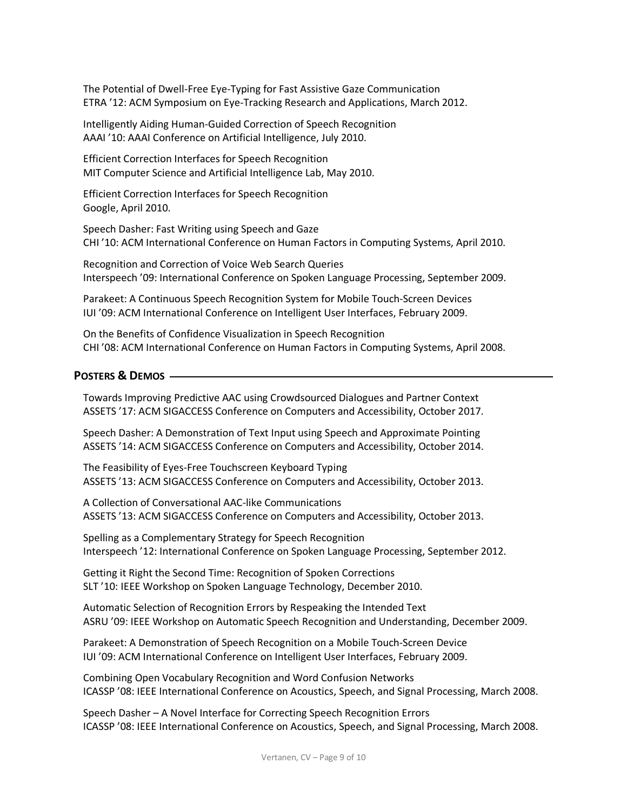ETRA '12: ACM Symposium on Eye-Tracking Research and Applications, March 2012. The Potential of Dwell-Free Eye-Typing for Fast Assistive Gaze Communication

 Intelligently Aiding Human-Guided Correction of Speech Recognition AAAI '10: AAAI Conference on Artificial Intelligence, July 2010.

 Efficient Correction Interfaces for Speech Recognition MIT Computer Science and Artificial Intelligence Lab, May 2010.

 Efficient Correction Interfaces for Speech Recognition Google, April 2010.

 Speech Dasher: Fast Writing using Speech and Gaze CHI '10: ACM International Conference on Human Factors in Computing Systems, April 2010.

 Recognition and Correction of Voice Web Search Queries Interspeech '09: International Conference on Spoken Language Processing, September 2009.

 Parakeet: A Continuous Speech Recognition System for Mobile Touch-Screen Devices IUI '09: ACM International Conference on Intelligent User Interfaces, February 2009.

 On the Benefits of Confidence Visualization in Speech Recognition CHI '08: ACM International Conference on Human Factors in Computing Systems, April 2008.

## **POSTERS & DEMOS**

 ASSETS '17: ACM SIGACCESS Conference on Computers and Accessibility, October 2017. Towards Improving Predictive AAC using Crowdsourced Dialogues and Partner Context

 Speech Dasher: A Demonstration of Text Input using Speech and Approximate Pointing ASSETS '14: ACM SIGACCESS Conference on Computers and Accessibility, October 2014.

 The Feasibility of Eyes-Free Touchscreen Keyboard Typing ASSETS '13: ACM SIGACCESS Conference on Computers and Accessibility, October 2013.

 A Collection of Conversational AAC-like Communications ASSETS '13: ACM SIGACCESS Conference on Computers and Accessibility, October 2013.

 Spelling as a Complementary Strategy for Speech Recognition Interspeech '12: International Conference on Spoken Language Processing, September 2012.

 Getting it Right the Second Time: Recognition of Spoken Corrections SLT '10: IEEE Workshop on Spoken Language Technology, December 2010.

 Automatic Selection of Recognition Errors by Respeaking the Intended Text ASRU '09: IEEE Workshop on Automatic Speech Recognition and Understanding, December 2009.

 Parakeet: A Demonstration of Speech Recognition on a Mobile Touch-Screen Device IUI '09: ACM International Conference on Intelligent User Interfaces, February 2009.

 Combining Open Vocabulary Recognition and Word Confusion Networks ICASSP '08: IEEE International Conference on Acoustics, Speech, and Signal Processing, March 2008.

 Speech Dasher – A Novel Interface for Correcting Speech Recognition Errors ICASSP '08: IEEE International Conference on Acoustics, Speech, and Signal Processing, March 2008.